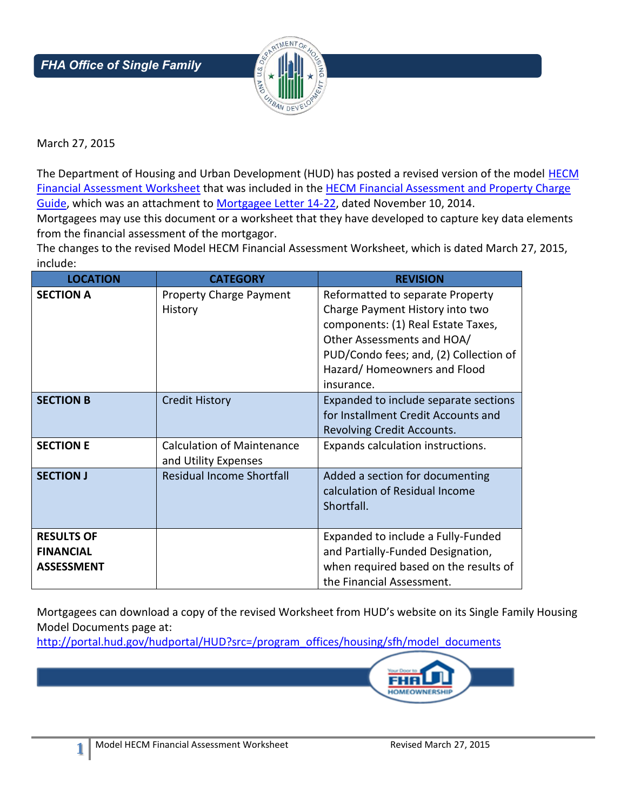

March 27, 2015

*Housing*

The Department of Housing and Urban Development (HUD) has posted a revised version of the model **HECM** [Financial Assessment Worksheet](http://portal.hud.gov/hudportal/HUD?src=/program_offices/housing/sfh/model_documents) that was included in the HECM [Financial Assessment and Property Charge](http://portal.hud.gov/hudportal/HUD?src=/program_offices/administration/dds)  [Guide,](http://portal.hud.gov/hudportal/HUD?src=/program_offices/administration/dds) which was an attachment to [Mortgagee Letter 14-22,](http://portal.hud.gov/hudportal/documents/huddoc?id=14-22ml.pdf) dated November 10, 2014.

Mortgagees may use this document or a worksheet that they have developed to capture key data elements from the financial assessment of the mortgagor.

The changes to the revised Model HECM Financial Assessment Worksheet, which is dated March 27, 2015, include:

| <b>LOCATION</b>                                            | <b>CATEGORY</b>                                           | <b>REVISION</b>                                                                                                                                                                                                                |
|------------------------------------------------------------|-----------------------------------------------------------|--------------------------------------------------------------------------------------------------------------------------------------------------------------------------------------------------------------------------------|
| <b>SECTION A</b>                                           | <b>Property Charge Payment</b><br>History                 | Reformatted to separate Property<br>Charge Payment History into two<br>components: (1) Real Estate Taxes,<br>Other Assessments and HOA/<br>PUD/Condo fees; and, (2) Collection of<br>Hazard/Homeowners and Flood<br>insurance. |
| <b>SECTION B</b>                                           | <b>Credit History</b>                                     | Expanded to include separate sections<br>for Installment Credit Accounts and<br>Revolving Credit Accounts.                                                                                                                     |
| <b>SECTION E</b>                                           | <b>Calculation of Maintenance</b><br>and Utility Expenses | Expands calculation instructions.                                                                                                                                                                                              |
| <b>SECTION J</b>                                           | <b>Residual Income Shortfall</b>                          | Added a section for documenting<br>calculation of Residual Income<br>Shortfall.                                                                                                                                                |
| <b>RESULTS OF</b><br><b>FINANCIAL</b><br><b>ASSESSMENT</b> |                                                           | Expanded to include a Fully-Funded<br>and Partially-Funded Designation,<br>when required based on the results of<br>the Financial Assessment.                                                                                  |

Mortgagees can download a copy of the revised Worksheet from HUD's website on its Single Family Housing Model Documents page at:

[http://portal.hud.gov/hudportal/HUD?src=/program\\_offices/housing/sfh/model\\_documents](http://portal.hud.gov/hudportal/HUD?src=/program_offices/housing/sfh/model_documents)



**1**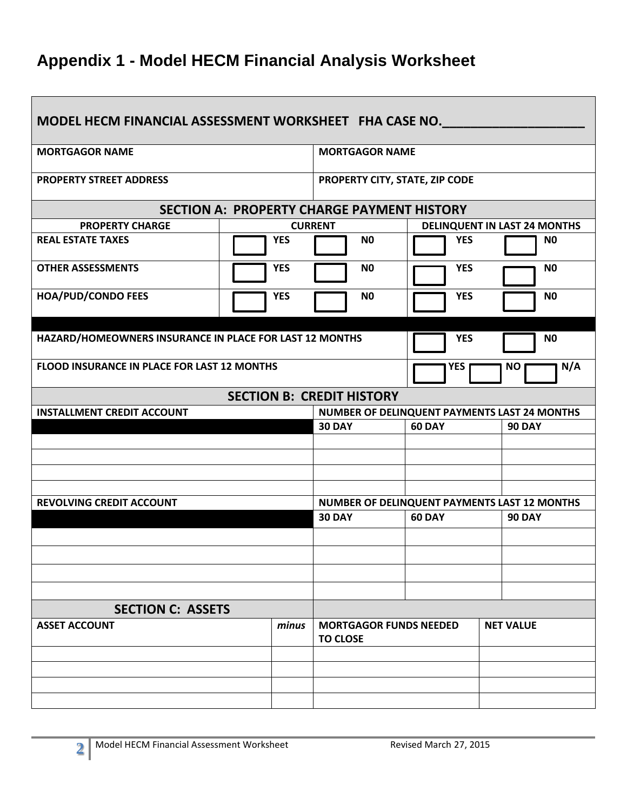## **Appendix 1 - Model HECM Financial Analysis Worksheet**

| MODEL HECM FINANCIAL ASSESSMENT WORKSHEET FHA CASE NO.  |                       |                                                                                |                |                                              |  |
|---------------------------------------------------------|-----------------------|--------------------------------------------------------------------------------|----------------|----------------------------------------------|--|
| <b>MORTGAGOR NAME</b>                                   | <b>MORTGAGOR NAME</b> |                                                                                |                |                                              |  |
| <b>PROPERTY STREET ADDRESS</b>                          |                       | PROPERTY CITY, STATE, ZIP CODE                                                 |                |                                              |  |
|                                                         |                       | <b>SECTION A: PROPERTY CHARGE PAYMENT HISTORY</b>                              |                |                                              |  |
| <b>PROPERTY CHARGE</b>                                  |                       | <b>CURRENT</b>                                                                 |                | <b>DELINQUENT IN LAST 24 MONTHS</b>          |  |
| <b>REAL ESTATE TAXES</b>                                | <b>YES</b>            | N <sub>0</sub>                                                                 | <b>YES</b>     | N <sub>0</sub>                               |  |
| <b>OTHER ASSESSMENTS</b>                                | <b>YES</b>            | N <sub>0</sub>                                                                 | <b>YES</b>     | N <sub>0</sub>                               |  |
| <b>HOA/PUD/CONDO FEES</b>                               | <b>YES</b>            | N <sub>0</sub>                                                                 | <b>YES</b>     | N <sub>0</sub>                               |  |
|                                                         |                       |                                                                                |                |                                              |  |
| HAZARD/HOMEOWNERS INSURANCE IN PLACE FOR LAST 12 MONTHS |                       | <b>YES</b>                                                                     | N <sub>0</sub> |                                              |  |
| <b>FLOOD INSURANCE IN PLACE FOR LAST 12 MONTHS</b>      |                       | YES                                                                            | N/A<br>NO.     |                                              |  |
|                                                         |                       | <b>SECTION B: CREDIT HISTORY</b>                                               |                |                                              |  |
| <b>INSTALLMENT CREDIT ACCOUNT</b>                       |                       |                                                                                |                | NUMBER OF DELINQUENT PAYMENTS LAST 24 MONTHS |  |
|                                                         |                       | <b>30 DAY</b>                                                                  | <b>60 DAY</b>  | <b>90 DAY</b>                                |  |
|                                                         |                       |                                                                                |                |                                              |  |
|                                                         |                       |                                                                                |                |                                              |  |
|                                                         |                       |                                                                                |                |                                              |  |
| <b>REVOLVING CREDIT ACCOUNT</b>                         |                       |                                                                                |                |                                              |  |
|                                                         |                       | NUMBER OF DELINQUENT PAYMENTS LAST 12 MONTHS<br><b>30 DAY</b><br><b>60 DAY</b> |                | <b>90 DAY</b>                                |  |
|                                                         |                       |                                                                                |                |                                              |  |
|                                                         |                       |                                                                                |                |                                              |  |
|                                                         |                       |                                                                                |                |                                              |  |
|                                                         |                       |                                                                                |                |                                              |  |
| <b>SECTION C: ASSETS</b>                                |                       |                                                                                |                |                                              |  |
| <b>ASSET ACCOUNT</b>                                    | minus                 | <b>MORTGAGOR FUNDS NEEDED</b><br><b>TO CLOSE</b>                               |                | <b>NET VALUE</b>                             |  |
|                                                         |                       |                                                                                |                |                                              |  |
|                                                         |                       |                                                                                |                |                                              |  |
|                                                         |                       |                                                                                |                |                                              |  |
|                                                         |                       |                                                                                |                |                                              |  |

٦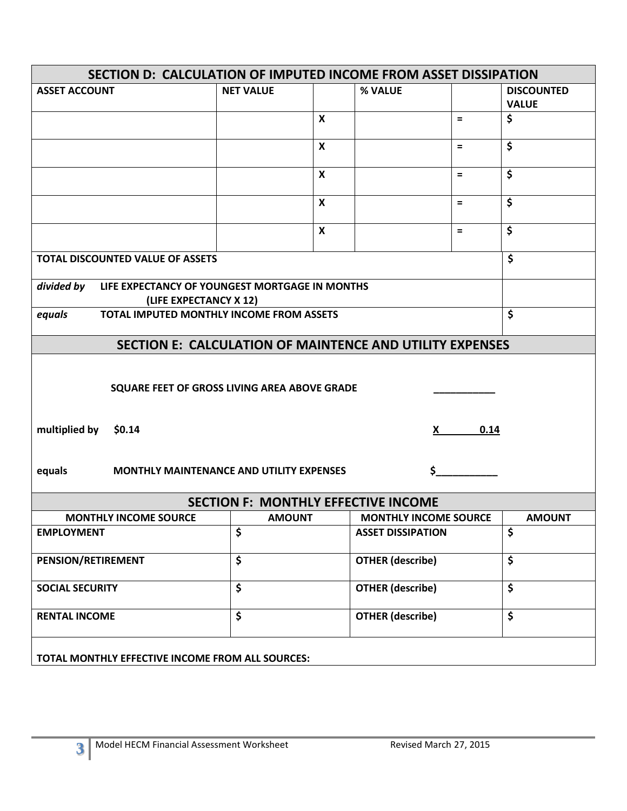| SECTION D: CALCULATION OF IMPUTED INCOME FROM ASSET DISSIPATION                        |                      |                           |                              |          |                   |
|----------------------------------------------------------------------------------------|----------------------|---------------------------|------------------------------|----------|-------------------|
| <b>ASSET ACCOUNT</b>                                                                   | <b>NET VALUE</b>     |                           | % VALUE                      |          | <b>DISCOUNTED</b> |
|                                                                                        |                      |                           |                              |          | <b>VALUE</b>      |
|                                                                                        |                      | $\pmb{\mathsf{X}}$        |                              | $\equiv$ | \$                |
|                                                                                        |                      | $\boldsymbol{\mathsf{x}}$ |                              | $\equiv$ | \$                |
|                                                                                        |                      | $\boldsymbol{\mathsf{x}}$ |                              | $=$      | \$                |
|                                                                                        |                      | $\boldsymbol{\mathsf{x}}$ |                              | $\equiv$ | \$                |
|                                                                                        |                      | $\boldsymbol{\mathsf{x}}$ |                              | $=$      | \$                |
| <b>TOTAL DISCOUNTED VALUE OF ASSETS</b>                                                |                      |                           |                              |          | \$                |
| divided by<br>LIFE EXPECTANCY OF YOUNGEST MORTGAGE IN MONTHS<br>(LIFE EXPECTANCY X 12) |                      |                           |                              |          |                   |
| TOTAL IMPUTED MONTHLY INCOME FROM ASSETS<br>equals                                     |                      |                           |                              |          | \$                |
| <b>SECTION E: CALCULATION OF MAINTENCE AND UTILITY EXPENSES</b>                        |                      |                           |                              |          |                   |
| SQUARE FEET OF GROSS LIVING AREA ABOVE GRADE                                           |                      |                           |                              |          |                   |
| multiplied by \$0.14<br>0.14<br>X.                                                     |                      |                           |                              |          |                   |
| equals<br>Ś<br><b>MONTHLY MAINTENANCE AND UTILITY EXPENSES</b>                         |                      |                           |                              |          |                   |
| <b>SECTION F: MONTHLY EFFECTIVE INCOME</b>                                             |                      |                           |                              |          |                   |
| <b>MONTHLY INCOME SOURCE</b>                                                           | <b>AMOUNT</b>        |                           | <b>MONTHLY INCOME SOURCE</b> |          | <b>AMOUNT</b>     |
| <b>EMPLOYMENT</b>                                                                      | \$                   |                           | <b>ASSET DISSIPATION</b>     |          | \$                |
| PENSION/RETIREMENT                                                                     | \$                   |                           | <b>OTHER (describe)</b>      |          | \$                |
| <b>SOCIAL SECURITY</b>                                                                 | \$                   |                           | <b>OTHER (describe)</b>      |          | \$                |
| <b>RENTAL INCOME</b>                                                                   | $\boldsymbol{\zeta}$ |                           | <b>OTHER (describe)</b>      |          | \$                |
| TOTAL MONTHLY EFFECTIVE INCOME FROM ALL SOURCES:                                       |                      |                           |                              |          |                   |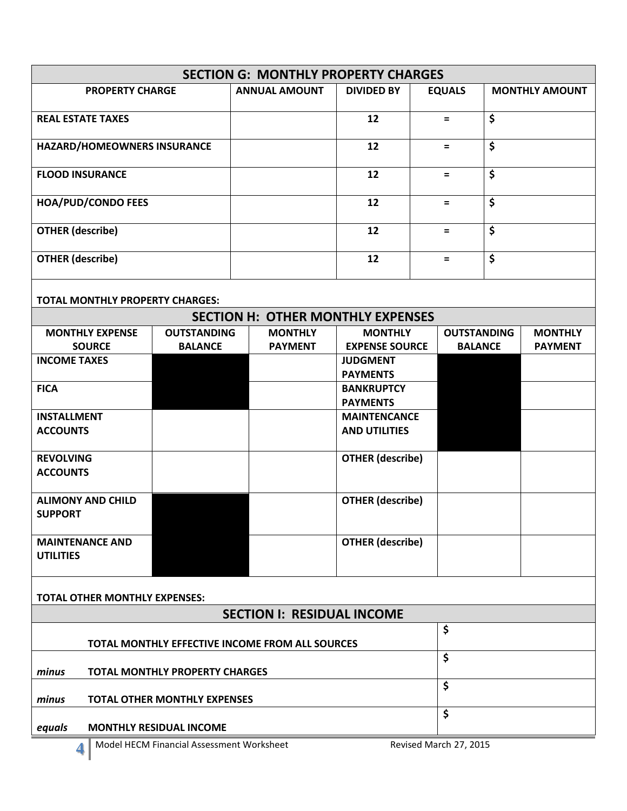| <b>PROPERTY CHARGE</b><br><b>ANNUAL AMOUNT</b><br><b>EQUALS</b><br><b>DIVIDED BY</b><br><b>MONTHLY AMOUNT</b><br>\$<br><b>REAL ESTATE TAXES</b><br>12<br>$=$<br>\$<br>HAZARD/HOMEOWNERS INSURANCE<br>12<br>$\equiv$<br>\$<br>12<br><b>FLOOD INSURANCE</b><br>$=$<br>\$<br>12<br><b>HOA/PUD/CONDO FEES</b><br>$=$<br>\$<br><b>OTHER (describe)</b><br>12<br>$=$<br>\$<br><b>OTHER (describe)</b><br>12<br>$=$<br><b>TOTAL MONTHLY PROPERTY CHARGES:</b><br><b>SECTION H: OTHER MONTHLY EXPENSES</b><br><b>MONTHLY EXPENSE</b><br><b>OUTSTANDING</b><br><b>MONTHLY</b><br><b>MONTHLY</b><br><b>OUTSTANDING</b><br><b>MONTHLY</b><br><b>SOURCE</b><br><b>BALANCE</b><br><b>EXPENSE SOURCE</b><br><b>BALANCE</b><br><b>PAYMENT</b><br><b>PAYMENT</b><br><b>INCOME TAXES</b><br><b>JUDGMENT</b><br><b>PAYMENTS</b><br><b>FICA</b><br><b>BANKRUPTCY</b><br><b>PAYMENTS</b><br><b>INSTALLMENT</b><br><b>MAINTENCANCE</b><br><b>ACCOUNTS</b><br><b>AND UTILITIES</b><br><b>OTHER (describe)</b><br><b>REVOLVING</b><br><b>ACCOUNTS</b><br><b>OTHER (describe)</b><br><b>ALIMONY AND CHILD</b><br><b>SUPPORT</b><br><b>OTHER</b> (describe)<br><b>MAINTENANCE AND</b><br><b>UTILITIES</b><br><b>TOTAL OTHER MONTHLY EXPENSES:</b><br><b>SECTION I: RESIDUAL INCOME</b><br>\$<br>TOTAL MONTHLY EFFECTIVE INCOME FROM ALL SOURCES<br>\$<br>minus<br><b>TOTAL MONTHLY PROPERTY CHARGES</b><br>\$<br>minus<br><b>TOTAL OTHER MONTHLY EXPENSES</b><br>\$<br><b>MONTHLY RESIDUAL INCOME</b><br>equals<br>Revised March 27, 2015<br>Model HECM Financial Assessment Worksheet<br>4 | <b>SECTION G: MONTHLY PROPERTY CHARGES</b> |  |  |  |  |  |  |  |
|--------------------------------------------------------------------------------------------------------------------------------------------------------------------------------------------------------------------------------------------------------------------------------------------------------------------------------------------------------------------------------------------------------------------------------------------------------------------------------------------------------------------------------------------------------------------------------------------------------------------------------------------------------------------------------------------------------------------------------------------------------------------------------------------------------------------------------------------------------------------------------------------------------------------------------------------------------------------------------------------------------------------------------------------------------------------------------------------------------------------------------------------------------------------------------------------------------------------------------------------------------------------------------------------------------------------------------------------------------------------------------------------------------------------------------------------------------------------------------------------------------------------------------------------------------------------|--------------------------------------------|--|--|--|--|--|--|--|
|                                                                                                                                                                                                                                                                                                                                                                                                                                                                                                                                                                                                                                                                                                                                                                                                                                                                                                                                                                                                                                                                                                                                                                                                                                                                                                                                                                                                                                                                                                                                                                    |                                            |  |  |  |  |  |  |  |
|                                                                                                                                                                                                                                                                                                                                                                                                                                                                                                                                                                                                                                                                                                                                                                                                                                                                                                                                                                                                                                                                                                                                                                                                                                                                                                                                                                                                                                                                                                                                                                    |                                            |  |  |  |  |  |  |  |
|                                                                                                                                                                                                                                                                                                                                                                                                                                                                                                                                                                                                                                                                                                                                                                                                                                                                                                                                                                                                                                                                                                                                                                                                                                                                                                                                                                                                                                                                                                                                                                    |                                            |  |  |  |  |  |  |  |
|                                                                                                                                                                                                                                                                                                                                                                                                                                                                                                                                                                                                                                                                                                                                                                                                                                                                                                                                                                                                                                                                                                                                                                                                                                                                                                                                                                                                                                                                                                                                                                    |                                            |  |  |  |  |  |  |  |
|                                                                                                                                                                                                                                                                                                                                                                                                                                                                                                                                                                                                                                                                                                                                                                                                                                                                                                                                                                                                                                                                                                                                                                                                                                                                                                                                                                                                                                                                                                                                                                    |                                            |  |  |  |  |  |  |  |
|                                                                                                                                                                                                                                                                                                                                                                                                                                                                                                                                                                                                                                                                                                                                                                                                                                                                                                                                                                                                                                                                                                                                                                                                                                                                                                                                                                                                                                                                                                                                                                    |                                            |  |  |  |  |  |  |  |
|                                                                                                                                                                                                                                                                                                                                                                                                                                                                                                                                                                                                                                                                                                                                                                                                                                                                                                                                                                                                                                                                                                                                                                                                                                                                                                                                                                                                                                                                                                                                                                    |                                            |  |  |  |  |  |  |  |
|                                                                                                                                                                                                                                                                                                                                                                                                                                                                                                                                                                                                                                                                                                                                                                                                                                                                                                                                                                                                                                                                                                                                                                                                                                                                                                                                                                                                                                                                                                                                                                    |                                            |  |  |  |  |  |  |  |
|                                                                                                                                                                                                                                                                                                                                                                                                                                                                                                                                                                                                                                                                                                                                                                                                                                                                                                                                                                                                                                                                                                                                                                                                                                                                                                                                                                                                                                                                                                                                                                    |                                            |  |  |  |  |  |  |  |
|                                                                                                                                                                                                                                                                                                                                                                                                                                                                                                                                                                                                                                                                                                                                                                                                                                                                                                                                                                                                                                                                                                                                                                                                                                                                                                                                                                                                                                                                                                                                                                    |                                            |  |  |  |  |  |  |  |
|                                                                                                                                                                                                                                                                                                                                                                                                                                                                                                                                                                                                                                                                                                                                                                                                                                                                                                                                                                                                                                                                                                                                                                                                                                                                                                                                                                                                                                                                                                                                                                    |                                            |  |  |  |  |  |  |  |
|                                                                                                                                                                                                                                                                                                                                                                                                                                                                                                                                                                                                                                                                                                                                                                                                                                                                                                                                                                                                                                                                                                                                                                                                                                                                                                                                                                                                                                                                                                                                                                    |                                            |  |  |  |  |  |  |  |
|                                                                                                                                                                                                                                                                                                                                                                                                                                                                                                                                                                                                                                                                                                                                                                                                                                                                                                                                                                                                                                                                                                                                                                                                                                                                                                                                                                                                                                                                                                                                                                    |                                            |  |  |  |  |  |  |  |
|                                                                                                                                                                                                                                                                                                                                                                                                                                                                                                                                                                                                                                                                                                                                                                                                                                                                                                                                                                                                                                                                                                                                                                                                                                                                                                                                                                                                                                                                                                                                                                    |                                            |  |  |  |  |  |  |  |
|                                                                                                                                                                                                                                                                                                                                                                                                                                                                                                                                                                                                                                                                                                                                                                                                                                                                                                                                                                                                                                                                                                                                                                                                                                                                                                                                                                                                                                                                                                                                                                    |                                            |  |  |  |  |  |  |  |
|                                                                                                                                                                                                                                                                                                                                                                                                                                                                                                                                                                                                                                                                                                                                                                                                                                                                                                                                                                                                                                                                                                                                                                                                                                                                                                                                                                                                                                                                                                                                                                    |                                            |  |  |  |  |  |  |  |
|                                                                                                                                                                                                                                                                                                                                                                                                                                                                                                                                                                                                                                                                                                                                                                                                                                                                                                                                                                                                                                                                                                                                                                                                                                                                                                                                                                                                                                                                                                                                                                    |                                            |  |  |  |  |  |  |  |
|                                                                                                                                                                                                                                                                                                                                                                                                                                                                                                                                                                                                                                                                                                                                                                                                                                                                                                                                                                                                                                                                                                                                                                                                                                                                                                                                                                                                                                                                                                                                                                    |                                            |  |  |  |  |  |  |  |
|                                                                                                                                                                                                                                                                                                                                                                                                                                                                                                                                                                                                                                                                                                                                                                                                                                                                                                                                                                                                                                                                                                                                                                                                                                                                                                                                                                                                                                                                                                                                                                    |                                            |  |  |  |  |  |  |  |
|                                                                                                                                                                                                                                                                                                                                                                                                                                                                                                                                                                                                                                                                                                                                                                                                                                                                                                                                                                                                                                                                                                                                                                                                                                                                                                                                                                                                                                                                                                                                                                    |                                            |  |  |  |  |  |  |  |
|                                                                                                                                                                                                                                                                                                                                                                                                                                                                                                                                                                                                                                                                                                                                                                                                                                                                                                                                                                                                                                                                                                                                                                                                                                                                                                                                                                                                                                                                                                                                                                    |                                            |  |  |  |  |  |  |  |
|                                                                                                                                                                                                                                                                                                                                                                                                                                                                                                                                                                                                                                                                                                                                                                                                                                                                                                                                                                                                                                                                                                                                                                                                                                                                                                                                                                                                                                                                                                                                                                    |                                            |  |  |  |  |  |  |  |
|                                                                                                                                                                                                                                                                                                                                                                                                                                                                                                                                                                                                                                                                                                                                                                                                                                                                                                                                                                                                                                                                                                                                                                                                                                                                                                                                                                                                                                                                                                                                                                    |                                            |  |  |  |  |  |  |  |
|                                                                                                                                                                                                                                                                                                                                                                                                                                                                                                                                                                                                                                                                                                                                                                                                                                                                                                                                                                                                                                                                                                                                                                                                                                                                                                                                                                                                                                                                                                                                                                    |                                            |  |  |  |  |  |  |  |
|                                                                                                                                                                                                                                                                                                                                                                                                                                                                                                                                                                                                                                                                                                                                                                                                                                                                                                                                                                                                                                                                                                                                                                                                                                                                                                                                                                                                                                                                                                                                                                    |                                            |  |  |  |  |  |  |  |
|                                                                                                                                                                                                                                                                                                                                                                                                                                                                                                                                                                                                                                                                                                                                                                                                                                                                                                                                                                                                                                                                                                                                                                                                                                                                                                                                                                                                                                                                                                                                                                    |                                            |  |  |  |  |  |  |  |
|                                                                                                                                                                                                                                                                                                                                                                                                                                                                                                                                                                                                                                                                                                                                                                                                                                                                                                                                                                                                                                                                                                                                                                                                                                                                                                                                                                                                                                                                                                                                                                    |                                            |  |  |  |  |  |  |  |
|                                                                                                                                                                                                                                                                                                                                                                                                                                                                                                                                                                                                                                                                                                                                                                                                                                                                                                                                                                                                                                                                                                                                                                                                                                                                                                                                                                                                                                                                                                                                                                    |                                            |  |  |  |  |  |  |  |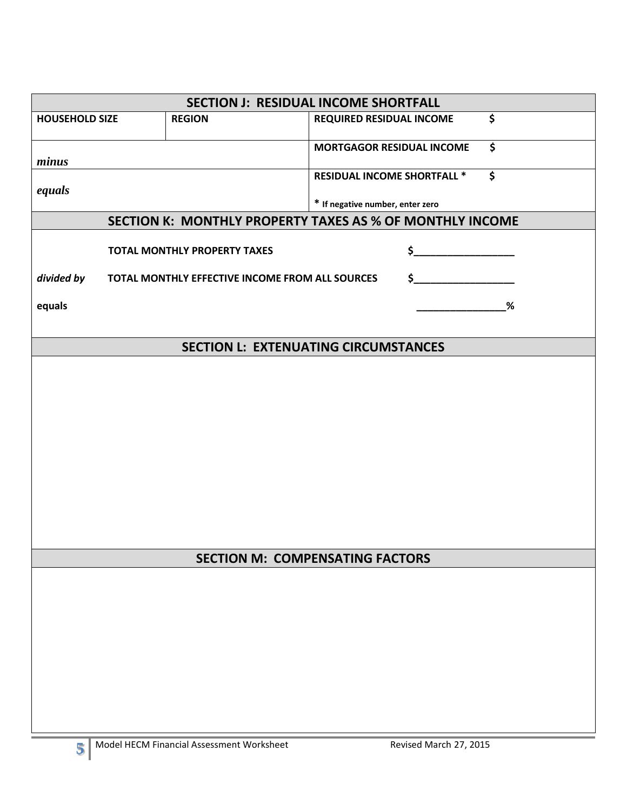| <b>SECTION J: RESIDUAL INCOME SHORTFALL</b> |  |                                                 |                                                          |  |  |
|---------------------------------------------|--|-------------------------------------------------|----------------------------------------------------------|--|--|
| <b>HOUSEHOLD SIZE</b>                       |  | <b>REGION</b>                                   | \$<br><b>REQUIRED RESIDUAL INCOME</b>                    |  |  |
| minus                                       |  |                                                 | \$<br><b>MORTGAGOR RESIDUAL INCOME</b>                   |  |  |
| equals                                      |  |                                                 | \$<br><b>RESIDUAL INCOME SHORTFALL *</b>                 |  |  |
|                                             |  |                                                 | * If negative number, enter zero                         |  |  |
|                                             |  |                                                 | SECTION K: MONTHLY PROPERTY TAXES AS % OF MONTHLY INCOME |  |  |
|                                             |  | <b>TOTAL MONTHLY PROPERTY TAXES</b>             | \$                                                       |  |  |
| divided by                                  |  | TOTAL MONTHLY EFFECTIVE INCOME FROM ALL SOURCES | \$_                                                      |  |  |
| equals                                      |  |                                                 | %                                                        |  |  |
|                                             |  |                                                 |                                                          |  |  |
|                                             |  |                                                 | <b>SECTION L: EXTENUATING CIRCUMSTANCES</b>              |  |  |
|                                             |  |                                                 |                                                          |  |  |
|                                             |  |                                                 |                                                          |  |  |
|                                             |  |                                                 |                                                          |  |  |
|                                             |  |                                                 |                                                          |  |  |
|                                             |  |                                                 |                                                          |  |  |
|                                             |  |                                                 |                                                          |  |  |
|                                             |  |                                                 |                                                          |  |  |
|                                             |  |                                                 |                                                          |  |  |
|                                             |  |                                                 | <b>SECTION M: COMPENSATING FACTORS</b>                   |  |  |
|                                             |  |                                                 |                                                          |  |  |
|                                             |  |                                                 |                                                          |  |  |
|                                             |  |                                                 |                                                          |  |  |
|                                             |  |                                                 |                                                          |  |  |
|                                             |  |                                                 |                                                          |  |  |
|                                             |  |                                                 |                                                          |  |  |
|                                             |  |                                                 |                                                          |  |  |
|                                             |  |                                                 |                                                          |  |  |